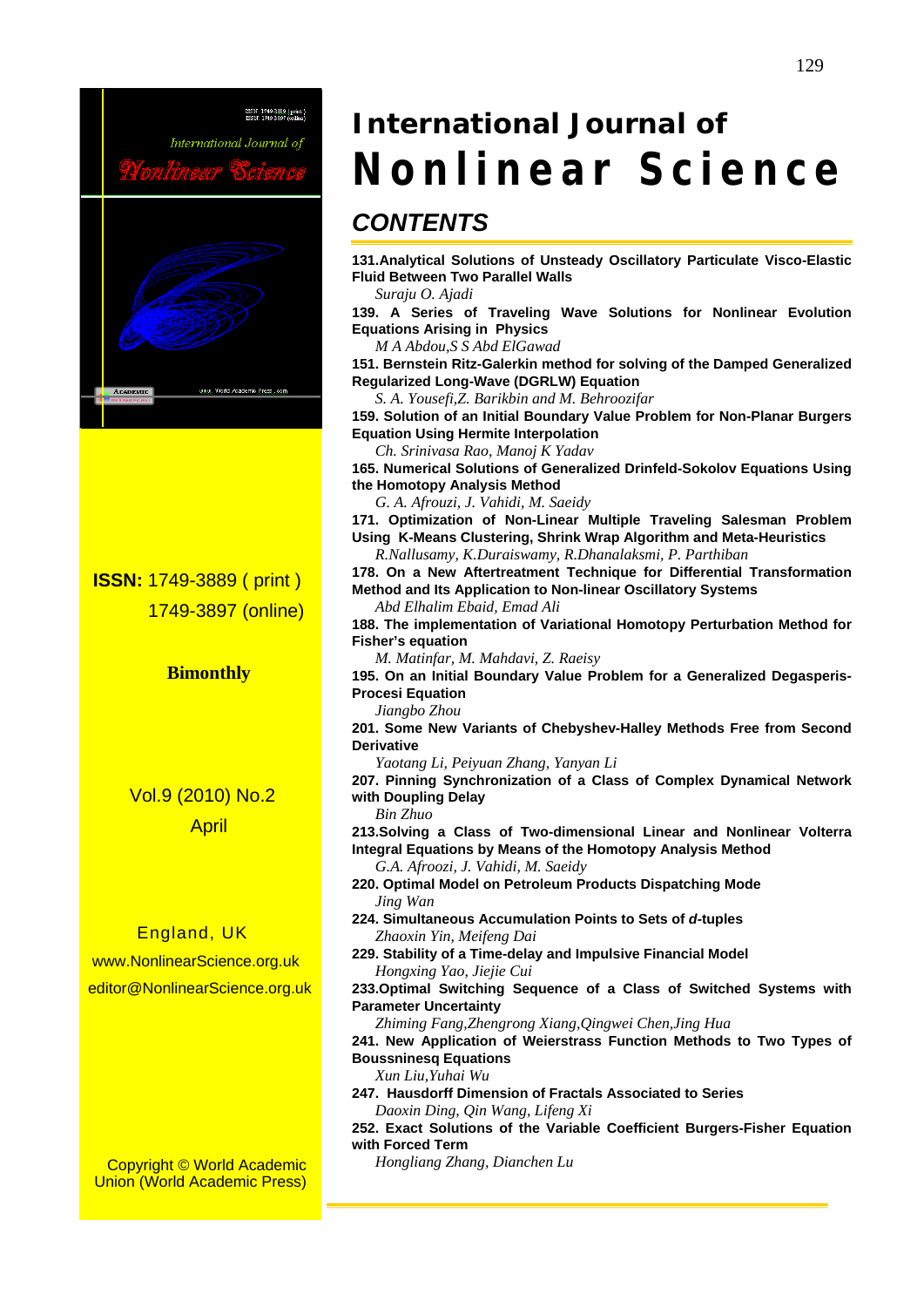

 **ISSN:** 1749-3889 ( print ) 1749-3897 (online)

**Bimonthly** 

 Vol.9 (2010) No.2 April

#### England, UK

 www.NonlinearScience.org.uk editor@NonlinearScience.org.uk

Copyright © World Academic Union (World Academic Press)

# *International Journal of*  **Nonlinear Science**

## *CONTENTS*

**131.Analytical Solutions of Unsteady Oscillatory Particulate Visco-Elastic Fluid Between Two Parallel Walls** 

*Suraju O. Ajadi* 

**139. A Series of Traveling Wave Solutions for Nonlinear Evolution Equations Arising in Physics** 

*M A Abdou,S S Abd ElGawad* 

**151. Bernstein Ritz-Galerkin method for solving of the Damped Generalized Regularized Long-Wave (DGRLW) Equation** 

*S. A. Yousefi,Z. Barikbin and M. Behroozifar* 

**159. Solution of an Initial Boundary Value Problem for Non-Planar Burgers Equation Using Hermite Interpolation** 

*Ch. Srinivasa Rao, Manoj K Yadav* 

**165. Numerical Solutions of Generalized Drinfeld-Sokolov Equations Using the Homotopy Analysis Method** 

*G. A. Afrouzi, J. Vahidi, M. Saeidy* 

**171. Optimization of Non-Linear Multiple Traveling Salesman Problem Using K-Means Clustering, Shrink Wrap Algorithm and Meta-Heuristics**  *R.Nallusamy, K.Duraiswamy, R.Dhanalaksmi, P. Parthiban* 

**178. On a New Aftertreatment Technique for Differential Transformation Method and Its Application to Non-linear Oscillatory Systems**  *Abd Elhalim Ebaid, Emad Ali* 

**188. The implementation of Variational Homotopy Perturbation Method for Fisher's equation** 

*M. Matinfar, M. Mahdavi, Z. Raeisy* 

**195. On an Initial Boundary Value Problem for a Generalized Degasperis-Procesi Equation** 

*Jiangbo Zhou* 

**201. Some New Variants of Chebyshev-Halley Methods Free from Second Derivative** 

*Yaotang Li, Peiyuan Zhang, Yanyan Li* 

**207. Pinning Synchronization of a Class of Complex Dynamical Network with Doupling Delay** 

*Bin Zhuo* 

**213.Solving a Class of Two-dimensional Linear and Nonlinear Volterra Integral Equations by Means of the Homotopy Analysis Method** 

*G.A. Afroozi, J. Vahidi, M. Saeidy* 

**220. Optimal Model on Petroleum Products Dispatching Mode**  *Jing Wan* 

**224. Simultaneous Accumulation Points to Sets of** *d-***tuples**  *Zhaoxin Yin, Meifeng Dai* 

**229. Stability of a Time-delay and Impulsive Financial Model**  *Hongxing Yao, Jiejie Cui* 

**233.Optimal Switching Sequence of a Class of Switched Systems with Parameter Uncertainty** 

*Zhiming Fang,Zhengrong Xiang,Qingwei Chen,Jing Hua* 

**241. New Application of Weierstrass Function Methods to Two Types of Boussninesq Equations** 

*Xun Liu,Yuhai Wu* 

**247. Hausdorff Dimension of Fractals Associated to Series** *Daoxin Ding, Qin Wang, Lifeng Xi* 

**252. Exact Solutions of the Variable Coefficient Burgers-Fisher Equation with Forced Term** 

*Hongliang Zhang, Dianchen Lu*